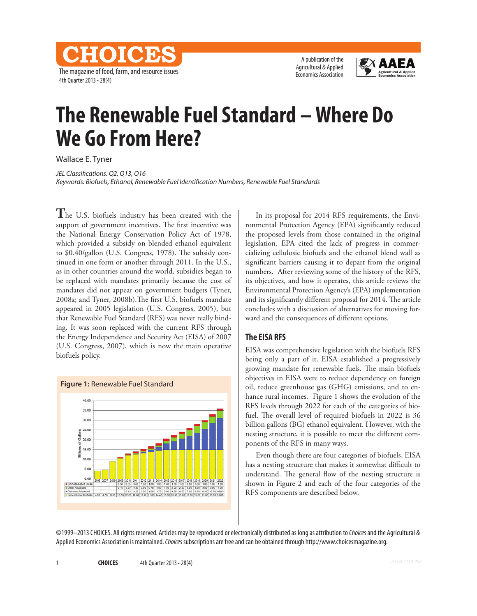<u>el: [O] [elb</u> The magazine of food, farm, and resource issues 4th Quarter 2013 • 28(4)

A publication of the Agricultural & Applied Economics Association



# **The Renewable Fuel Standard – Where Do We Go From Here?**

Wallace E. Tyner

*JEL Classifications: Q2, Q13, Q16 Keywords: Biofuels, Ethanol, Renewable Fuel Identification Numbers, Renewable Fuel Standards*

**T**he U.S. biofuels industry has been created with the support of government incentives. The first incentive was the National Energy Conservation Policy Act of 1978, which provided a subsidy on blended ethanol equivalent to \$0.40/gallon (U.S. Congress, 1978). The subsidy continued in one form or another through 2011. In the U.S., as in other countries around the world, subsidies began to be replaced with mandates primarily because the cost of mandates did not appear on government budgets (Tyner, 2008a; and Tyner, 2008b).The first U.S. biofuels mandate appeared in 2005 legislation (U.S. Congress, 2005), but that Renewable Fuel Standard (RFS) was never really binding. It was soon replaced with the current RFS through the Energy Independence and Security Act (EISA) of 2007 (U.S. Congress, 2007), which is now the main operative biofuels policy.



In its proposal for 2014 RFS requirements, the Environmental Protection Agency (EPA) significantly reduced the proposed levels from those contained in the original legislation. EPA cited the lack of progress in commercializing cellulosic biofuels and the ethanol blend wall as significant barriers causing it to depart from the original numbers. After reviewing some of the history of the RFS, its objectives, and how it operates, this article reviews the Environmental Protection Agency's (EPA) implementation and its significantly different proposal for 2014. The article concludes with a discussion of alternatives for moving forward and the consequences of different options.

### **The EISA RFS**

EISA was comprehensive legislation with the biofuels RFS being only a part of it. EISA established a progressively growing mandate for renewable fuels. The main biofuels objectives in EISA were to reduce dependency on foreign oil, reduce greenhouse gas (GHG) emissions, and to enhance rural incomes. Figure 1 shows the evolution of the RFS levels through 2022 for each of the categories of biofuel. The overall level of required biofuels in 2022 is 36 billion gallons (BG) ethanol equivalent. However, with the nesting structure, it is possible to meet the different components of the RFS in many ways.

Even though there are four categories of biofuels, EISA has a nesting structure that makes it somewhat difficult to understand. The general flow of the nesting structure is shown in Figure 2 and each of the four categories of the RFS components are described below.

©1999–2013 CHOICES. All rights reserved. Articles may be reproduced or electronically distributed as long as attribution to *Choices* and the Agricultural & Applied Economics Association is maintained. *Choices* subscriptions are free and can be obtained through http://www.choicesmagazine.org.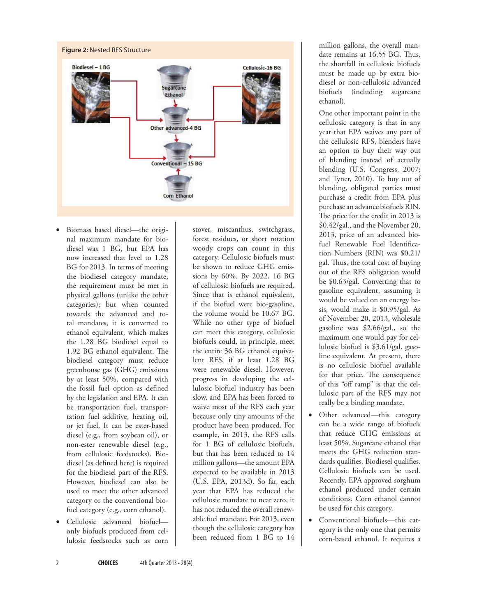

- Biomass based diesel—the original maximum mandate for biodiesel was 1 BG, but EPA has now increased that level to 1.28 BG for 2013. In terms of meeting the biodiesel category mandate, the requirement must be met in physical gallons (unlike the other categories); but when counted towards the advanced and total mandates, it is converted to ethanol equivalent, which makes the 1.28 BG biodiesel equal to 1.92 BG ethanol equivalent. The biodiesel category must reduce greenhouse gas (GHG) emissions by at least 50%, compared with the fossil fuel option as defined by the legislation and EPA. It can be transportation fuel, transportation fuel additive, heating oil, or jet fuel. It can be ester-based diesel (e.g., from soybean oil), or non-ester renewable diesel (e.g., from cellulosic feedstocks). Biodiesel (as defined here) is required for the biodiesel part of the RFS. However, biodiesel can also be used to meet the other advanced category or the conventional biofuel category (e.g., corn ethanol).
- • Cellulosic advanced biofuel only biofuels produced from cellulosic feedstocks such as corn

stover, miscanthus, switchgrass, forest residues, or short rotation woody crops can count in this category. Cellulosic biofuels must be shown to reduce GHG emissions by 60%. By 2022, 16 BG of cellulosic biofuels are required. Since that is ethanol equivalent, if the biofuel were bio-gasoline, the volume would be 10.67 BG. While no other type of biofuel can meet this category, cellulosic biofuels could, in principle, meet the entire 36 BG ethanol equivalent RFS, if at least 1.28 BG were renewable diesel. However, progress in developing the cellulosic biofuel industry has been slow, and EPA has been forced to waive most of the RFS each year because only tiny amounts of the product have been produced. For example, in 2013, the RFS calls for 1 BG of cellulosic biofuels, but that has been reduced to 14 million gallons—the amount EPA expected to be available in 2013 (U.S. EPA, 2013d). So far, each year that EPA has reduced the cellulosic mandate to near zero, it has not reduced the overall renewable fuel mandate. For 2013, even though the cellulosic category has been reduced from 1 BG to 14

million gallons, the overall mandate remains at 16.55 BG. Thus, the shortfall in cellulosic biofuels must be made up by extra biodiesel or non-cellulosic advanced biofuels (including sugarcane ethanol).

One other important point in the cellulosic category is that in any year that EPA waives any part of the cellulosic RFS, blenders have an option to buy their way out of blending instead of actually blending (U.S. Congress, 2007; and Tyner, 2010). To buy out of blending, obligated parties must purchase a credit from EPA plus purchase an advance biofuels RIN. The price for the credit in 2013 is \$0.42/gal., and the November 20, 2013, price of an advanced biofuel Renewable Fuel Identification Numbers (RIN) was \$0.21/ gal. Thus, the total cost of buying out of the RFS obligation would be \$0.63/gal. Converting that to gasoline equivalent, assuming it would be valued on an energy basis, would make it \$0.95/gal. As of November 20, 2013, wholesale gasoline was \$2.66/gal., so the maximum one would pay for cellulosic biofuel is \$3.61/gal. gasoline equivalent. At present, there is no cellulosic biofuel available for that price. The consequence of this "off ramp" is that the cellulosic part of the RFS may not really be a binding mandate.

- Other advanced—this category can be a wide range of biofuels that reduce GHG emissions at least 50%. Sugarcane ethanol that meets the GHG reduction standards qualifies. Biodiesel qualifies. Cellulosic biofuels can be used. Recently, EPA approved sorghum ethanol produced under certain conditions. Corn ethanol cannot be used for this category.
- • Conventional biofuels—this category is the only one that permits corn-based ethanol. It requires a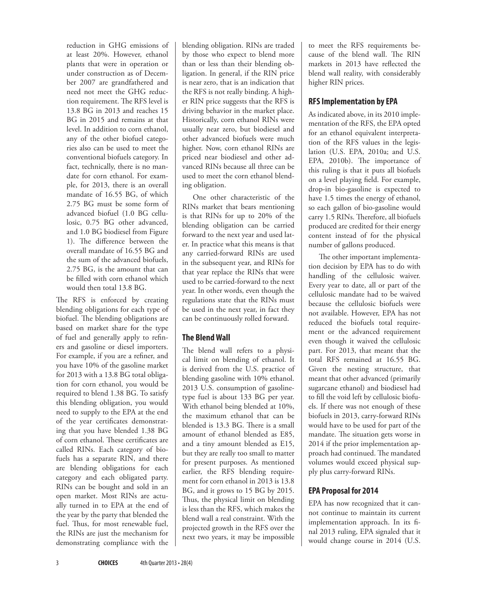reduction in GHG emissions of at least 20%. However, ethanol plants that were in operation or under construction as of December 2007 are grandfathered and need not meet the GHG reduction requirement. The RFS level is 13.8 BG in 2013 and reaches 15 BG in 2015 and remains at that level. In addition to corn ethanol, any of the other biofuel categories also can be used to meet the conventional biofuels category. In fact, technically, there is no mandate for corn ethanol. For example, for 2013, there is an overall mandate of 16.55 BG, of which 2.75 BG must be some form of advanced biofuel (1.0 BG cellulosic, 0.75 BG other advanced, and 1.0 BG biodiesel from Figure 1). The difference between the overall mandate of 16.55 BG and the sum of the advanced biofuels, 2.75 BG, is the amount that can be filled with corn ethanol which would then total 13.8 BG.

The RFS is enforced by creating blending obligations for each type of biofuel. The blending obligations are based on market share for the type of fuel and generally apply to refiners and gasoline or diesel importers. For example, if you are a refiner, and you have 10% of the gasoline market for 2013 with a 13.8 BG total obligation for corn ethanol, you would be required to blend 1.38 BG. To satisfy this blending obligation, you would need to supply to the EPA at the end of the year certificates demonstrating that you have blended 1.38 BG of corn ethanol. These certificates are called RINs. Each category of biofuels has a separate RIN, and there are blending obligations for each category and each obligated party. RINs can be bought and sold in an open market. Most RINs are actually turned in to EPA at the end of the year by the party that blended the fuel. Thus, for most renewable fuel, the RINs are just the mechanism for demonstrating compliance with the

blending obligation. RINs are traded by those who expect to blend more than or less than their blending obligation. In general, if the RIN price is near zero, that is an indication that the RFS is not really binding. A higher RIN price suggests that the RFS is driving behavior in the market place. Historically, corn ethanol RINs were usually near zero, but biodiesel and other advanced biofuels were much higher. Now, corn ethanol RINs are priced near biodiesel and other advanced RINs because all three can be used to meet the corn ethanol blending obligation.

One other characteristic of the RINs market that bears mentioning is that RINs for up to 20% of the blending obligation can be carried forward to the next year and used later. In practice what this means is that any carried-forward RINs are used in the subsequent year, and RINs for that year replace the RINs that were used to be carried-forward to the next year. In other words, even though the regulations state that the RINs must be used in the next year, in fact they can be continuously rolled forward.

## **The Blend Wall**

The blend wall refers to a physical limit on blending of ethanol. It is derived from the U.S. practice of blending gasoline with 10% ethanol. 2013 U.S. consumption of gasolinetype fuel is about 133 BG per year. With ethanol being blended at 10%, the maximum ethanol that can be blended is 13.3 BG. There is a small amount of ethanol blended as E85, and a tiny amount blended as E15, but they are really too small to matter for present purposes. As mentioned earlier, the RFS blending requirement for corn ethanol in 2013 is 13.8 BG, and it grows to 15 BG by 2015. Thus, the physical limit on blending is less than the RFS, which makes the blend wall a real constraint. With the projected growth in the RFS over the next two years, it may be impossible

to meet the RFS requirements because of the blend wall. The RIN markets in 2013 have reflected the blend wall reality, with considerably higher RIN prices.

## **RFS Implementation by EPA**

As indicated above, in its 2010 implementation of the RFS, the EPA opted for an ethanol equivalent interpretation of the RFS values in the legislation (U.S. EPA, 2010a; and U.S. EPA, 2010b). The importance of this ruling is that it puts all biofuels on a level playing field. For example, drop-in bio-gasoline is expected to have 1.5 times the energy of ethanol, so each gallon of bio-gasoline would carry 1.5 RINs. Therefore, all biofuels produced are credited for their energy content instead of for the physical number of gallons produced.

The other important implementation decision by EPA has to do with handling of the cellulosic waiver. Every year to date, all or part of the cellulosic mandate had to be waived because the cellulosic biofuels were not available. However, EPA has not reduced the biofuels total requirement or the advanced requirement even though it waived the cellulosic part. For 2013, that meant that the total RFS remained at 16.55 BG. Given the nesting structure, that meant that other advanced (primarily sugarcane ethanol) and biodiesel had to fill the void left by cellulosic biofuels. If there was not enough of these biofuels in 2013, carry-forward RINs would have to be used for part of the mandate. The situation gets worse in 2014 if the prior implementation approach had continued. The mandated volumes would exceed physical supply plus carry-forward RINs.

## **EPA Proposal for 2014**

EPA has now recognized that it cannot continue to maintain its current implementation approach. In its final 2013 ruling, EPA signaled that it would change course in 2014 (U.S.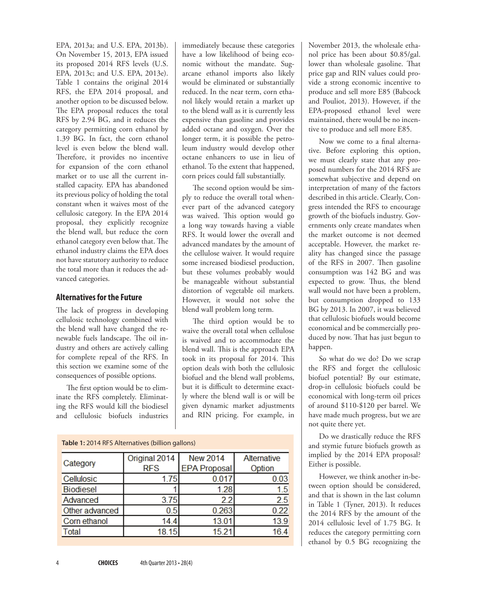EPA, 2013a; and U.S. EPA, 2013b). On November 15, 2013, EPA issued its proposed 2014 RFS levels (U.S. EPA, 2013c; and U.S. EPA, 2013e). Table 1 contains the original 2014 RFS, the EPA 2014 proposal, and another option to be discussed below. The EPA proposal reduces the total RFS by 2.94 BG, and it reduces the category permitting corn ethanol by 1.39 BG. In fact, the corn ethanol level is even below the blend wall. Therefore, it provides no incentive for expansion of the corn ethanol market or to use all the current installed capacity. EPA has abandoned its previous policy of holding the total constant when it waives most of the cellulosic category. In the EPA 2014 proposal, they explicitly recognize the blend wall, but reduce the corn ethanol category even below that. The ethanol industry claims the EPA does not have statutory authority to reduce the total more than it reduces the advanced categories.

#### **Alternatives for the Future**

The lack of progress in developing cellulosic technology combined with the blend wall have changed the renewable fuels landscape. The oil industry and others are actively calling for complete repeal of the RFS. In this section we examine some of the consequences of possible options.

The first option would be to eliminate the RFS completely. Eliminating the RFS would kill the biodiesel and cellulosic biofuels industries

immediately because these categories have a low likelihood of being economic without the mandate. Sugarcane ethanol imports also likely would be eliminated or substantially reduced. In the near term, corn ethanol likely would retain a market up to the blend wall as it is currently less expensive than gasoline and provides added octane and oxygen. Over the longer term, it is possible the petroleum industry would develop other octane enhancers to use in lieu of ethanol. To the extent that happened, corn prices could fall substantially.

The second option would be simply to reduce the overall total whenever part of the advanced category was waived. This option would go a long way towards having a viable RFS. It would lower the overall and advanced mandates by the amount of the cellulose waiver. It would require some increased biodiesel production, but these volumes probably would be manageable without substantial distortion of vegetable oil markets. However, it would not solve the blend wall problem long term.

The third option would be to waive the overall total when cellulose is waived and to accommodate the blend wall. This is the approach EPA took in its proposal for 2014. This option deals with both the cellulosic biofuel and the blend wall problems, but it is difficult to determine exactly where the blend wall is or will be given dynamic market adjustments and RIN pricing. For example, in

| Table 1: 2014 RFS Alternatives (billion gallons) |                             |                                        |                       |
|--------------------------------------------------|-----------------------------|----------------------------------------|-----------------------|
| Category                                         | Original 2014<br><b>RFS</b> | <b>New 2014</b><br><b>EPA Proposal</b> | Alternative<br>Option |
| Cellulosic                                       | 1.75                        | 0.017                                  | 0.03                  |
| <b>Biodiesel</b>                                 |                             | 1.28                                   | 1.5                   |
| Advanced                                         | 3.75                        | 2.2                                    | 2.5                   |
| Other advanced                                   | 0.5                         | 0.263                                  | 0.22                  |
| Corn ethanol                                     | 14.4                        | 13.01                                  | 13.9                  |
| Total                                            | 18.15                       | 15.21                                  | 16.4                  |

November 2013, the wholesale ethanol price has been about \$0.85/gal. lower than wholesale gasoline. That price gap and RIN values could provide a strong economic incentive to produce and sell more E85 (Babcock and Pouliot, 2013). However, if the EPA-proposed ethanol level were maintained, there would be no incentive to produce and sell more E85.

Now we come to a final alternative. Before exploring this option, we must clearly state that any proposed numbers for the 2014 RFS are somewhat subjective and depend on interpretation of many of the factors described in this article. Clearly, Congress intended the RFS to encourage growth of the biofuels industry. Governments only create mandates when the market outcome is not deemed acceptable. However, the market reality has changed since the passage of the RFS in 2007. Then gasoline consumption was 142 BG and was expected to grow. Thus, the blend wall would not have been a problem, but consumption dropped to 133 BG by 2013. In 2007, it was believed that cellulosic biofuels would become economical and be commercially produced by now. That has just begun to happen.

So what do we do? Do we scrap the RFS and forget the cellulosic biofuel potential? By our estimate, drop-in cellulosic biofuels could be economical with long-term oil prices of around \$110-\$120 per barrel. We have made much progress, but we are not quite there yet.

Do we drastically reduce the RFS and stymie future biofuels growth as implied by the 2014 EPA proposal? Either is possible.

However, we think another in-between option should be considered, and that is shown in the last column in Table 1 (Tyner, 2013). It reduces the 2014 RFS by the amount of the 2014 cellulosic level of 1.75 BG. It reduces the category permitting corn ethanol by 0.5 BG recognizing the